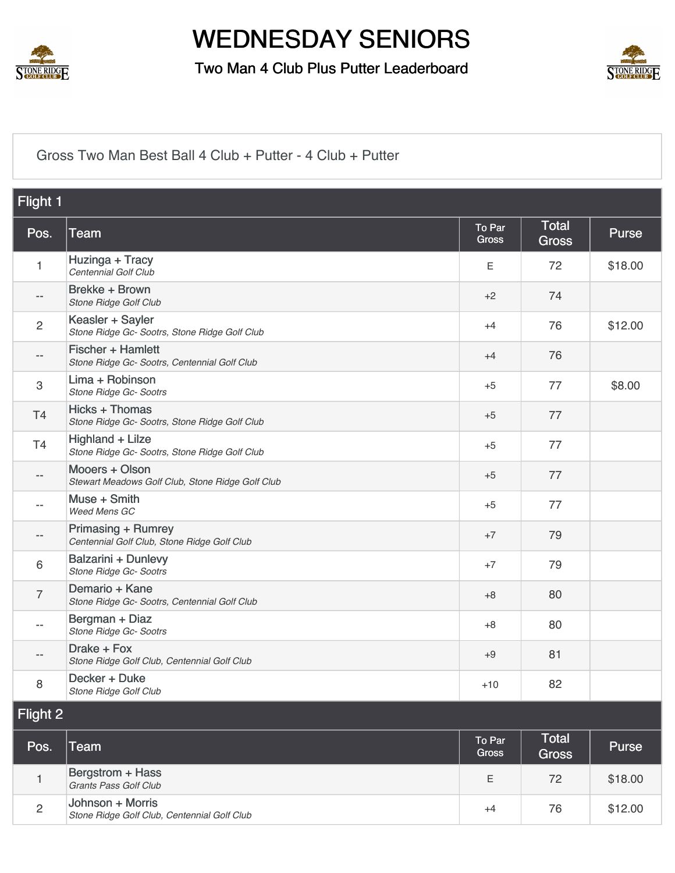

Two Man 4 Club Plus Putter Leaderboard



#### [Gross Two Man Best Ball 4 Club + Putter - 4 Club + Putter](https://static.golfgenius.com/v2tournaments/8567122987415796466?called_from=&round_index=42)

| Flight 1       |                                                                    |                        |                              |              |
|----------------|--------------------------------------------------------------------|------------------------|------------------------------|--------------|
| Pos.           | Team                                                               | To Par<br><b>Gross</b> | <b>Total</b><br><b>Gross</b> | <b>Purse</b> |
| 1              | Huzinga + Tracy<br>Centennial Golf Club                            | Е                      | 72                           | \$18.00      |
| --             | Brekke + Brown<br>Stone Ridge Golf Club                            | +2                     | 74                           |              |
| 2              | Keasler + Sayler<br>Stone Ridge Gc- Sootrs, Stone Ridge Golf Club  | $+4$                   | 76                           | \$12.00      |
| $-$            | Fischer + Hamlett<br>Stone Ridge Gc- Sootrs, Centennial Golf Club  | $+4$                   | 76                           |              |
| 3              | Lima + Robinson<br>Stone Ridge Gc- Sootrs                          | $+5$                   | 77                           | \$8.00       |
| T <sub>4</sub> | Hicks + Thomas<br>Stone Ridge Gc- Sootrs, Stone Ridge Golf Club    | $+5$                   | 77                           |              |
| T <sub>4</sub> | Highland + Lilze<br>Stone Ridge Gc- Sootrs, Stone Ridge Golf Club  | $+5$                   | 77                           |              |
| --             | Mooers + Olson<br>Stewart Meadows Golf Club, Stone Ridge Golf Club | $+5$                   | 77                           |              |
|                | Muse + Smith<br>Weed Mens GC                                       | $+5$                   | 77                           |              |
| --             | Primasing + Rumrey<br>Centennial Golf Club, Stone Ridge Golf Club  | $+7$                   | 79                           |              |
| 6              | Balzarini + Dunlevy<br>Stone Ridge Gc- Sootrs                      | $+7$                   | 79                           |              |
| 7              | Demario + Kane<br>Stone Ridge Gc- Sootrs, Centennial Golf Club     | $+8$                   | 80                           |              |
|                | Bergman + Diaz<br>Stone Ridge Gc- Sootrs                           | $+8$                   | 80                           |              |
|                | Drake + Fox<br>Stone Ridge Golf Club, Centennial Golf Club         | $+9$                   | 81                           |              |
| 8              | Decker + Duke<br>Stone Ridge Golf Club                             | $+10$                  | 82                           |              |
| Flight 2       |                                                                    |                        |                              |              |
| <b>Doo</b>     | $T_{\alpha\alpha}$                                                 | To Par                 | <b>Total</b>                 | Dirac        |

| Pos.           | <b>Team</b>                                                     | <b>To Par</b><br><b>Gross</b> | Total<br><b>Gross</b> | <b>Purse</b> |
|----------------|-----------------------------------------------------------------|-------------------------------|-----------------------|--------------|
|                | Bergstrom + Hass<br>Grants Pass Golf Club                       | E                             | 72                    | \$18.00      |
| $\overline{2}$ | Johnson + Morris<br>Stone Ridge Golf Club, Centennial Golf Club | $^{+4}$                       | 76                    | \$12.00      |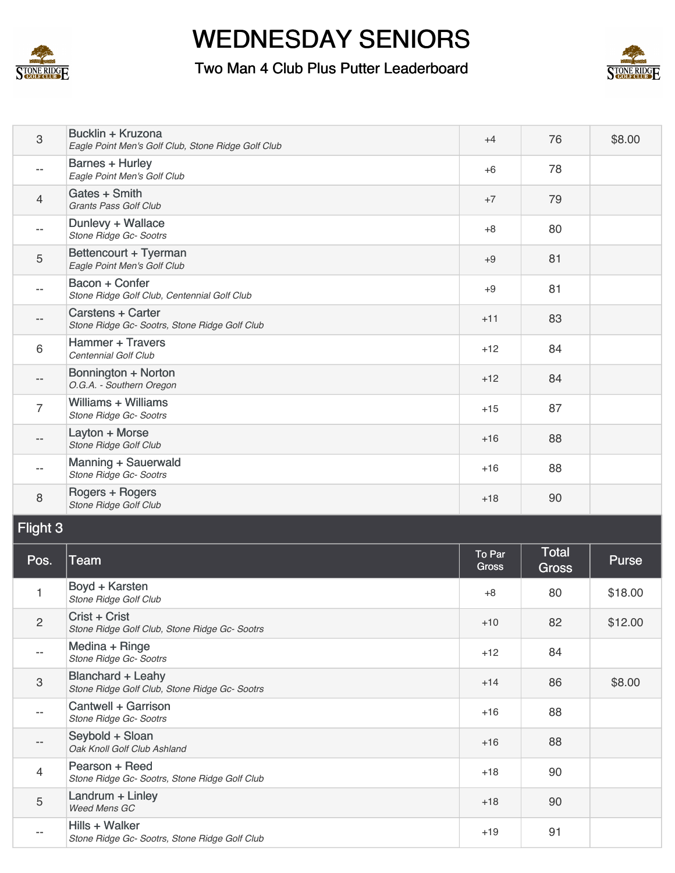

#### Two Man 4 Club Plus Putter Leaderboard



| 3              | Bucklin + Kruzona<br>Eagle Point Men's Golf Club, Stone Ridge Golf Club   | $+4$            | 76                           | \$8.00       |
|----------------|---------------------------------------------------------------------------|-----------------|------------------------------|--------------|
|                | <b>Barnes + Hurley</b><br>Eagle Point Men's Golf Club                     | $+6$            | 78                           |              |
| 4              | Gates + Smith<br>Grants Pass Golf Club                                    | $+7$            | 79                           |              |
| --             | Dunlevy + Wallace<br>Stone Ridge Gc- Sootrs                               | $+8$            | 80                           |              |
| 5              | Bettencourt + Tyerman<br>Eagle Point Men's Golf Club                      | $+9$            | 81                           |              |
| --             | Bacon + Confer<br>Stone Ridge Golf Club, Centennial Golf Club             | $+9$            | 81                           |              |
| --             | Carstens + Carter<br>Stone Ridge Gc- Sootrs, Stone Ridge Golf Club        | $+11$           | 83                           |              |
| 6              | <b>Hammer + Travers</b><br>Centennial Golf Club                           | $+12$           | 84                           |              |
| --             | Bonnington + Norton<br>O.G.A. - Southern Oregon                           | $+12$           | 84                           |              |
| 7              | Williams + Williams<br>Stone Ridge Gc- Sootrs                             | $+15$           | 87                           |              |
| $-$            | Layton + Morse<br>Stone Ridge Golf Club                                   | $+16$           | 88                           |              |
|                | Manning + Sauerwald<br>Stone Ridge Gc- Sootrs                             | $+16$           | 88                           |              |
|                |                                                                           |                 |                              |              |
| 8              | Rogers + Rogers<br>Stone Ridge Golf Club                                  | $+18$           | 90                           |              |
| Flight 3       |                                                                           |                 |                              |              |
| Pos.           | <b>Team</b>                                                               | To Par<br>Gross | <b>Total</b><br><b>Gross</b> | <b>Purse</b> |
| 1              | Boyd + Karsten<br>Stone Ridge Golf Club                                   | $+8$            | 80                           | \$18.00      |
| $\overline{c}$ | Crist + Crist<br>Stone Ridge Golf Club, Stone Ridge Gc- Sootrs            | $+10$           | 82                           | \$12.00      |
|                | Medina + Ringe<br>Stone Ridge Gc- Sootrs                                  | $+12$           | 84                           |              |
| 3              | <b>Blanchard + Leahy</b><br>Stone Ridge Golf Club, Stone Ridge Gc- Sootrs | $+14$           | 86                           | \$8.00       |
| --             | Cantwell + Garrison<br>Stone Ridge Gc- Sootrs                             | $+16$           | 88                           |              |
| --             | Seybold + Sloan<br>Oak Knoll Golf Club Ashland                            | $+16$           | 88                           |              |
| 4              | Pearson + Reed<br>Stone Ridge Gc- Sootrs, Stone Ridge Golf Club           | $+18$           | 90                           |              |
| 5              | Landrum + Linley<br>Weed Mens GC                                          | $+18$           | 90                           |              |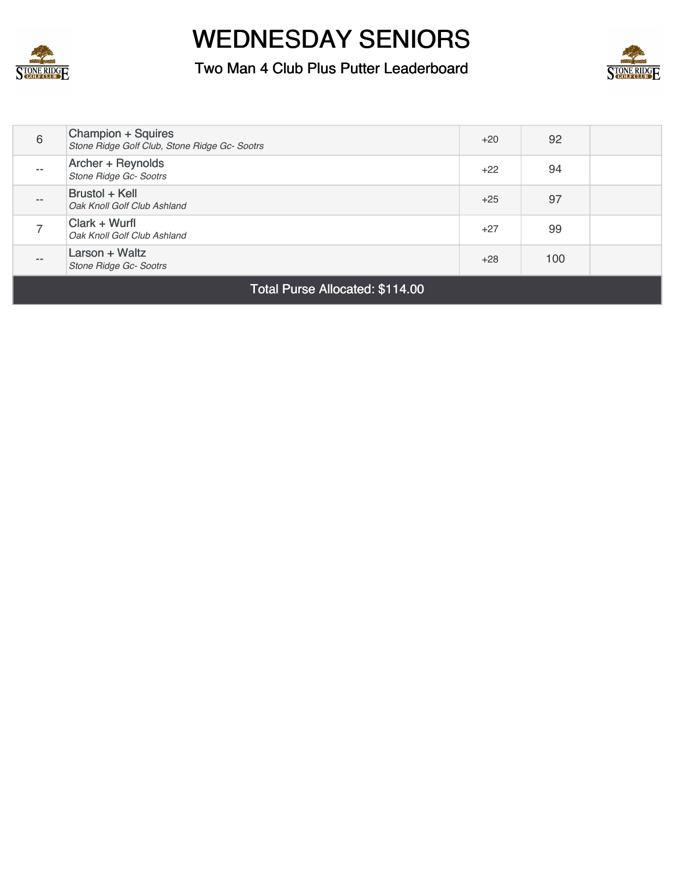

Two Man 4 Club Plus Putter Leaderboard



| 6                               | Champion + Squires<br>Stone Ridge Golf Club, Stone Ridge Gc- Sootrs | $+20$ | 92  |  |
|---------------------------------|---------------------------------------------------------------------|-------|-----|--|
| $- -$                           | Archer + Reynolds<br>Stone Ridge Gc- Sootrs                         | $+22$ | 94  |  |
| $- -$                           | Brustol + Kell<br>Oak Knoll Golf Club Ashland                       | $+25$ | 97  |  |
|                                 | Clark + Wurfl<br>Oak Knoll Golf Club Ashland                        | $+27$ | 99  |  |
| $- -$                           | Larson + Waltz<br><b>Stone Ridge Gc- Sootrs</b>                     | $+28$ | 100 |  |
| Total Purse Allocated: \$114.00 |                                                                     |       |     |  |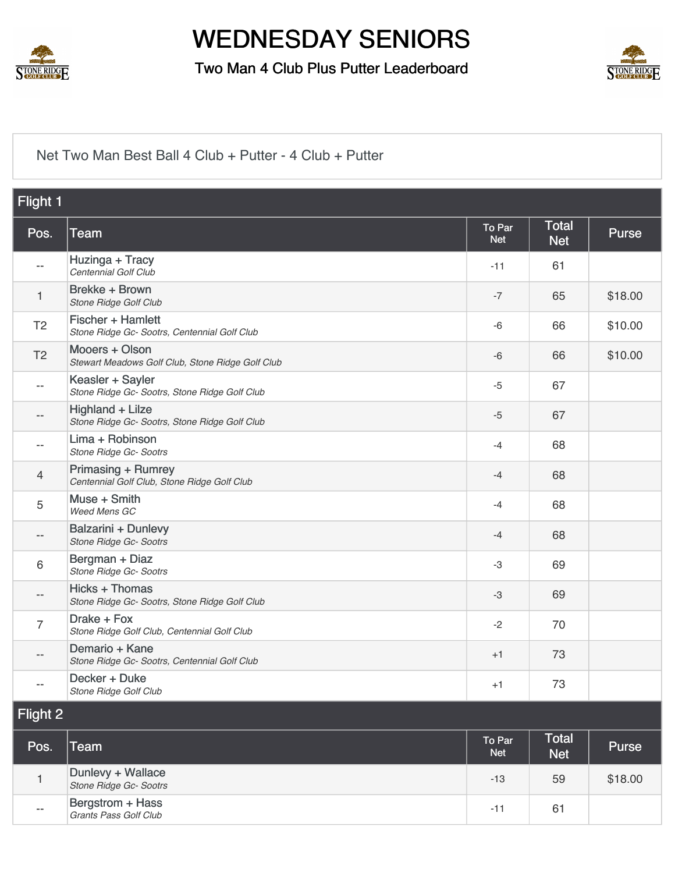

Two Man 4 Club Plus Putter Leaderboard



[Net Two Man Best Ball 4 Club + Putter - 4 Club + Putter](https://static.golfgenius.com/v2tournaments/8567122993556257523?called_from=&round_index=42)

| Flight 1                 |                                                                    |                      |                            |              |
|--------------------------|--------------------------------------------------------------------|----------------------|----------------------------|--------------|
| Pos.                     | Team                                                               | To Par<br><b>Net</b> | <b>Total</b><br><b>Net</b> | <b>Purse</b> |
| $-$                      | Huzinga + Tracy<br>Centennial Golf Club                            | $-11$                | 61                         |              |
| 1                        | Brekke + Brown<br>Stone Ridge Golf Club                            | $-7$                 | 65                         | \$18.00      |
| T <sub>2</sub>           | Fischer + Hamlett<br>Stone Ridge Gc- Sootrs, Centennial Golf Club  | $-6$                 | 66                         | \$10.00      |
| T <sub>2</sub>           | Mooers + Olson<br>Stewart Meadows Golf Club, Stone Ridge Golf Club | $-6$                 | 66                         | \$10.00      |
| $\overline{\phantom{a}}$ | Keasler + Sayler<br>Stone Ridge Gc- Sootrs, Stone Ridge Golf Club  | $-5$                 | 67                         |              |
| $-$                      | Highland + Lilze<br>Stone Ridge Gc- Sootrs, Stone Ridge Golf Club  | $-5$                 | 67                         |              |
| $-$                      | Lima + Robinson<br>Stone Ridge Gc- Sootrs                          | $-4$                 | 68                         |              |
| $\overline{4}$           | Primasing + Rumrey<br>Centennial Golf Club, Stone Ridge Golf Club  | $-4$                 | 68                         |              |
| 5                        | Muse + Smith<br>Weed Mens GC                                       | $-4$                 | 68                         |              |
| --                       | <b>Balzarini + Dunlevy</b><br>Stone Ridge Gc- Sootrs               | $-4$                 | 68                         |              |
| 6                        | Bergman + Diaz<br>Stone Ridge Gc- Sootrs                           | $-3$                 | 69                         |              |
| $-\,-$                   | Hicks + Thomas<br>Stone Ridge Gc- Sootrs, Stone Ridge Golf Club    | $-3$                 | 69                         |              |
| $\overline{7}$           | Drake + Fox<br>Stone Ridge Golf Club, Centennial Golf Club         | $-2$                 | 70                         |              |
| $-\,-$                   | Demario + Kane<br>Stone Ridge Gc- Sootrs, Centennial Golf Club     | $+1$                 | 73                         |              |
|                          | Decker + Duke<br>Stone Ridge Golf Club                             | $+1$                 | 73                         |              |
| Flight 2                 |                                                                    |                      |                            |              |
| Pos.                     | <b>Team</b>                                                        | To Par<br><b>Net</b> | Total<br><b>Net</b>        | <b>Purse</b> |

|       |                                             | <b>IVGL</b>  | <b>INGL</b> |         |
|-------|---------------------------------------------|--------------|-------------|---------|
|       | Dunlevy + Wallace<br>Stone Ridge Gc- Sootrs | $-13$        | 59          | \$18.00 |
| $- -$ | Bergstrom + Hass<br>Grants Pass Golf Club   | $-1^{\circ}$ | 61          |         |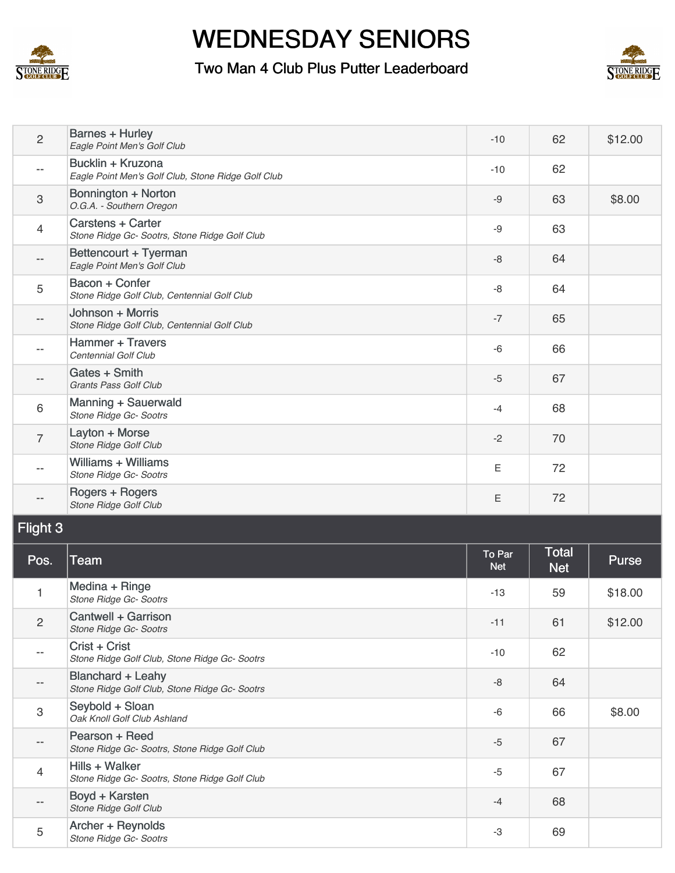

4

--

5

[Hills + Walker](https://static.golfgenius.com/tournaments2/details/8567628803499653705)

[Boyd + Karsten](https://static.golfgenius.com/tournaments2/details/8567628803499653692)

[Archer + Reynolds](https://static.golfgenius.com/tournaments2/details/8567628803533208161)

# WEDNESDAY SENIORS

#### Two Man 4 Club Plus Putter Leaderboard



| $\overline{2}$            | <b>Barnes + Hurley</b><br>Eagle Point Men's Golf Club                     | $-10$                | 62                         | \$12.00 |
|---------------------------|---------------------------------------------------------------------------|----------------------|----------------------------|---------|
| $-\,-$                    | Bucklin + Kruzona<br>Eagle Point Men's Golf Club, Stone Ridge Golf Club   | $-10$                | 62                         |         |
| $\sqrt{3}$                | Bonnington + Norton<br>O.G.A. - Southern Oregon                           | $-9$                 | 63                         | \$8.00  |
| 4                         | <b>Carstens + Carter</b><br>Stone Ridge Gc- Sootrs, Stone Ridge Golf Club | -9                   | 63                         |         |
| $ -$                      | Bettencourt + Tyerman<br>Eagle Point Men's Golf Club                      | -8                   | 64                         |         |
| 5                         | Bacon + Confer<br>Stone Ridge Golf Club, Centennial Golf Club             | $-8$                 | 64                         |         |
| $-\,-$                    | Johnson + Morris<br>Stone Ridge Golf Club, Centennial Golf Club           | $-7$                 | 65                         |         |
| $-\,-$                    | <b>Hammer + Travers</b><br>Centennial Golf Club                           | $-6$                 | 66                         |         |
| $- -$                     | Gates + Smith<br>Grants Pass Golf Club                                    | $-5$                 | 67                         |         |
| 6                         | Manning + Sauerwald<br>Stone Ridge Gc- Sootrs                             | $-4$                 | 68                         |         |
| $\overline{7}$            | Layton + Morse<br>Stone Ridge Golf Club                                   | $-2$                 | 70                         |         |
| $-\,-$                    | <b>Williams + Williams</b><br>Stone Ridge Gc- Sootrs                      | Е                    | 72                         |         |
|                           | Rogers + Rogers<br>Stone Ridge Golf Club                                  | Ε                    | 72                         |         |
| Flight 3                  |                                                                           |                      |                            |         |
| Pos.                      | <b>Team</b>                                                               | To Par<br><b>Net</b> | <b>Total</b><br><b>Net</b> | Purse   |
| 1                         | Medina + Ringe<br>Stone Ridge Gc- Sootrs                                  | $-13$                | 59                         | \$18.00 |
| $\overline{c}$            | Cantwell + Garrison<br>Stone Ridge Gc- Sootrs                             | $-11$                | 61                         | \$12.00 |
| $\overline{\phantom{m}}$  | Crist + Crist<br>Stone Ridge Golf Club, Stone Ridge Gc- Sootrs            | $-10$                | 62                         |         |
| $-\,-$                    | <b>Blanchard + Leahy</b><br>Stone Ridge Golf Club, Stone Ridge Gc- Sootrs | -8                   | 64                         |         |
| $\ensuremath{\mathsf{3}}$ | Seybold + Sloan<br>Oak Knoll Golf Club Ashland                            | -6                   | 66                         | \$8.00  |
| $\overline{\phantom{m}}$  | Pearson + Reed<br>Stone Ridge Gc- Sootrs, Stone Ridge Golf Club           | $-5$                 | 67                         |         |

*Stone Ridge Gc- Sootrs, Stone Ridge Golf Club* <sup>67</sup>

-5

-4

-3

**BOyG + Narsten**<br>Stone Ridge Golf Club

*Stone Ridge Gc- Sootrs* <sup>69</sup>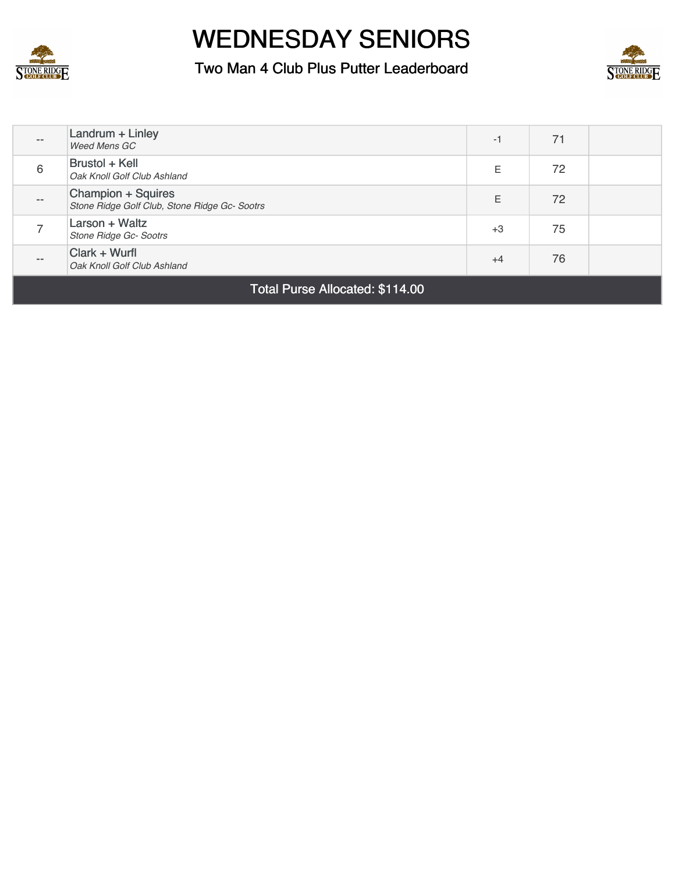

Two Man 4 Club Plus Putter Leaderboard



| $ -$  | Landrum + Linley<br>Weed Mens GC                                    | -1   | 71 |  |
|-------|---------------------------------------------------------------------|------|----|--|
| 6     | Brustol + Kell<br>Oak Knoll Golf Club Ashland                       | E    | 72 |  |
| $- -$ | Champion + Squires<br>Stone Ridge Golf Club, Stone Ridge Gc- Sootrs | E    | 72 |  |
|       | Larson + Waltz<br>Stone Ridge Gc- Sootrs                            | $+3$ | 75 |  |
| $- -$ | Clark + Wurfl<br>Oak Knoll Golf Club Ashland                        | $+4$ | 76 |  |
|       |                                                                     |      |    |  |

Total Purse Allocated: \$114.00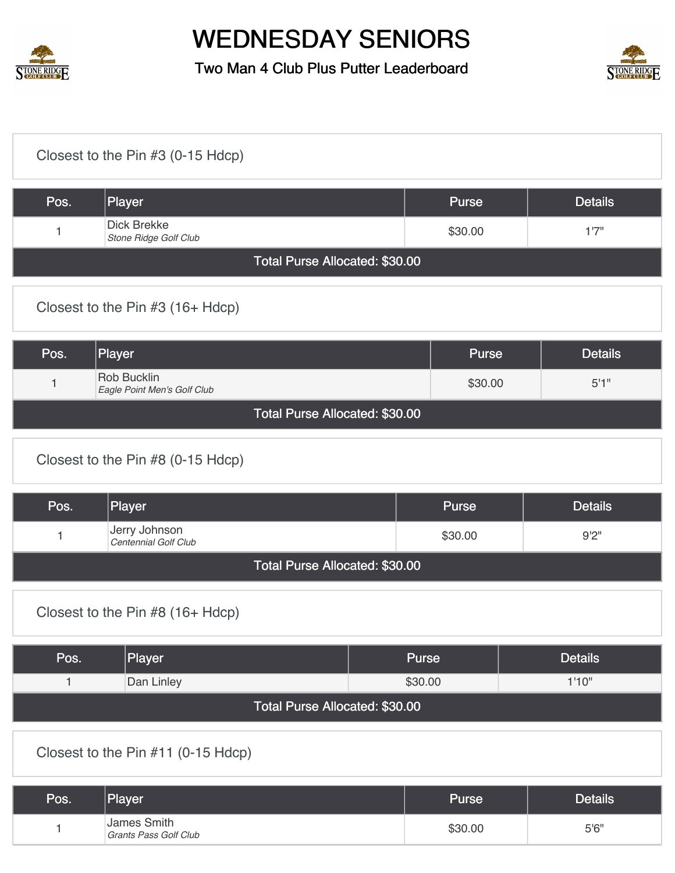

Two Man 4 Club Plus Putter Leaderboard



#### [Closest to the Pin #3 \(0-15 Hdcp\)](https://static.golfgenius.com/v2tournaments/8567604960391363393?called_from=&round_index=42) Pos. Player Postalls Postall Purse Purse Details 1 Dick Brekke *Stone Ridge Golf Club* \$30.00 1'7" Total Purse Allocated: \$30.00 [Closest to the Pin #3 \(16+ Hdcp\)](https://static.golfgenius.com/v2tournaments/8567605434951695170?called_from=&round_index=42) Pos. |Player | Details 1 Rob Bucklin **Eagle Point Men's Golf Club 6.11 Second 1.1 Second 1.1 Second 1.1 Second 1.1 Second 1.1 Second 1.1 Second 1.1 Second 1.1 Second 1.1 Second 1.1 Second 1.1 Second 1.1 Second 1.1 Second 1.1 Second 1.1 Second 1.1 Second 1.1** Total Purse Allocated: \$30.00 [Closest to the Pin #8 \(0-15 Hdcp\)](https://static.golfgenius.com/v2tournaments/8567605751067999043?called_from=&round_index=42) Pos. Player Pos. Player Purse Details 1 Jerry Johnson **Centennial Golf Club** 8<sup>1</sup>2"<br>
Centennial Golf Club Total Purse Allocated: \$30.00 [Closest to the Pin #8 \(16+ Hdcp\)](https://static.golfgenius.com/v2tournaments/8567606206166760260?called_from=&round_index=42) Pos. Player Pos. Purse Purse Purse Purse Details 1 Dan Linley \$30.00 1'10" Total Purse Allocated: \$30.00 [Closest to the Pin #11 \(0-15 Hdcp\)](https://static.golfgenius.com/v2tournaments/8567606458428980037?called_from=&round_index=42) Pos. Player Postalls Postall Purse Purse Details 1 James Smith James Smith<br>*Grants Pass Golf Club* 5'6"